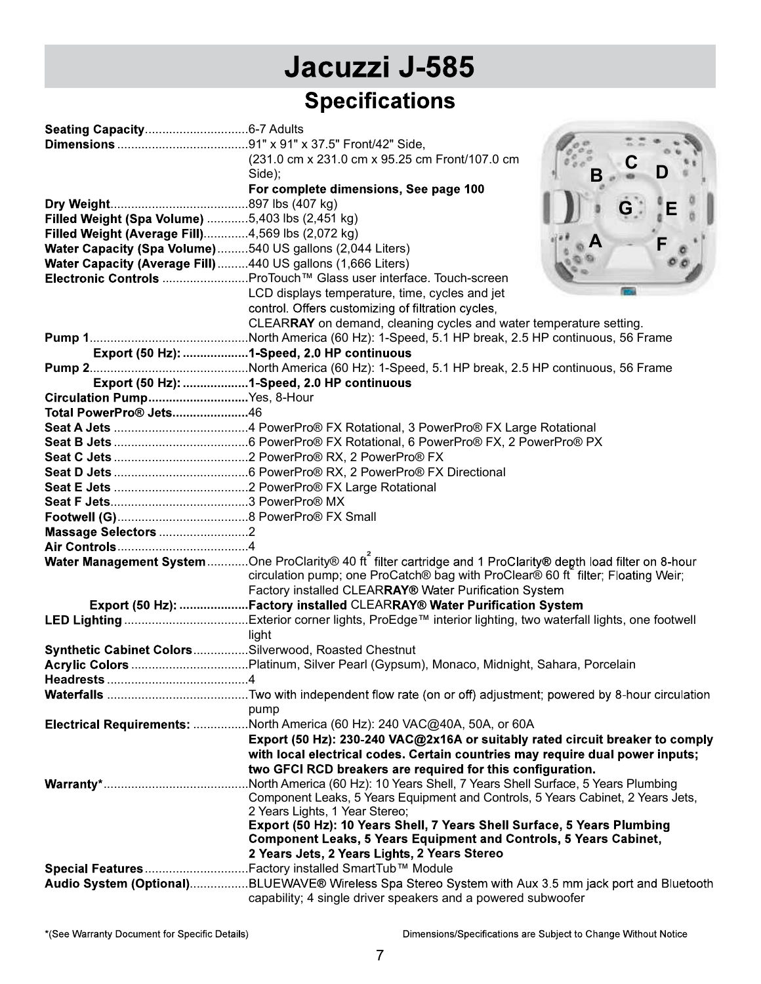|                                                             | Jacuzzi J-585                                                                                                |   |
|-------------------------------------------------------------|--------------------------------------------------------------------------------------------------------------|---|
|                                                             | <b>Specifications</b>                                                                                        |   |
|                                                             |                                                                                                              |   |
|                                                             |                                                                                                              |   |
|                                                             | (231.0 cm x 231.0 cm x 95.25 cm Front/107.0 cm                                                               |   |
|                                                             | Side);                                                                                                       |   |
|                                                             | For complete dimensions, See page 100                                                                        |   |
|                                                             |                                                                                                              | G |
| Filled Weight (Spa Volume) 5,403 lbs (2,451 kg)             |                                                                                                              |   |
| Filled Weight (Average Fill)4,569 lbs (2,072 kg)            |                                                                                                              |   |
| Water Capacity (Spa Volume)540 US gallons (2,044 Liters)    |                                                                                                              |   |
| Water Capacity (Average Fill) 440 US gallons (1,666 Liters) |                                                                                                              |   |
|                                                             | Electronic Controls ProTouch™ Glass user interface. Touch-screen                                             |   |
|                                                             | LCD displays temperature, time, cycles and jet                                                               |   |
|                                                             | control. Offers customizing of filtration cycles,                                                            |   |
|                                                             | CLEARRAY on demand, cleaning cycles and water temperature setting.                                           |   |
|                                                             |                                                                                                              |   |
|                                                             | Export (50 Hz): 1-Speed, 2.0 HP continuous                                                                   |   |
|                                                             |                                                                                                              |   |
|                                                             | Export (50 Hz): 1-Speed, 2.0 HP continuous                                                                   |   |
| Circulation PumpYes, 8-Hour                                 |                                                                                                              |   |
| Total PowerPro® Jets46                                      |                                                                                                              |   |
|                                                             |                                                                                                              |   |
|                                                             |                                                                                                              |   |
|                                                             |                                                                                                              |   |
|                                                             |                                                                                                              |   |
|                                                             |                                                                                                              |   |
|                                                             |                                                                                                              |   |
| Massage Selectors 2                                         |                                                                                                              |   |
|                                                             |                                                                                                              |   |
|                                                             | Water Management System One ProClarity® 40 ft filter cartridge and 1 ProClarity® depth load filter on 8-hour |   |
|                                                             | circulation pump; one ProCatch® bag with ProClear® 60 ft filter; Floating Weir;                              |   |
|                                                             | Factory installed CLEARRAY® Water Purification System                                                        |   |
|                                                             | Export (50 Hz): Factory installed CLEARRAY® Water Purification System                                        |   |
|                                                             |                                                                                                              |   |
|                                                             | light                                                                                                        |   |
|                                                             | Synthetic Cabinet ColorsSilverwood, Roasted Chestnut                                                         |   |
|                                                             |                                                                                                              |   |
|                                                             |                                                                                                              |   |
|                                                             |                                                                                                              |   |
|                                                             | pump                                                                                                         |   |
|                                                             | Electrical Requirements: North America (60 Hz): 240 VAC@40A, 50A, or 60A                                     |   |
|                                                             | Export (50 Hz): 230-240 VAC@2x16A or suitably rated circuit breaker to comply                                |   |
|                                                             | with local electrical codes. Certain countries may require dual power inputs;                                |   |
|                                                             | two GFCI RCD breakers are required for this configuration.                                                   |   |
|                                                             | North America (60 Hz): 10 Years Shell, 7 Years Shell Surface, 5 Years Plumbing                               |   |
|                                                             | Component Leaks, 5 Years Equipment and Controls, 5 Years Cabinet, 2 Years Jets,                              |   |
|                                                             | 2 Years Lights, 1 Year Stereo;                                                                               |   |
|                                                             | Export (50 Hz): 10 Years Shell, 7 Years Shell Surface, 5 Years Plumbing                                      |   |
|                                                             | <b>Component Leaks, 5 Years Equipment and Controls, 5 Years Cabinet,</b>                                     |   |
|                                                             | 2 Years Jets, 2 Years Lights, 2 Years Stereo                                                                 |   |
|                                                             |                                                                                                              |   |
|                                                             | Audio System (Optional)BLUEWAVE® Wireless Spa Stereo System with Aux 3.5 mm jack port and Bluetooth          |   |
|                                                             | capability; 4 single driver speakers and a powered subwoofer                                                 |   |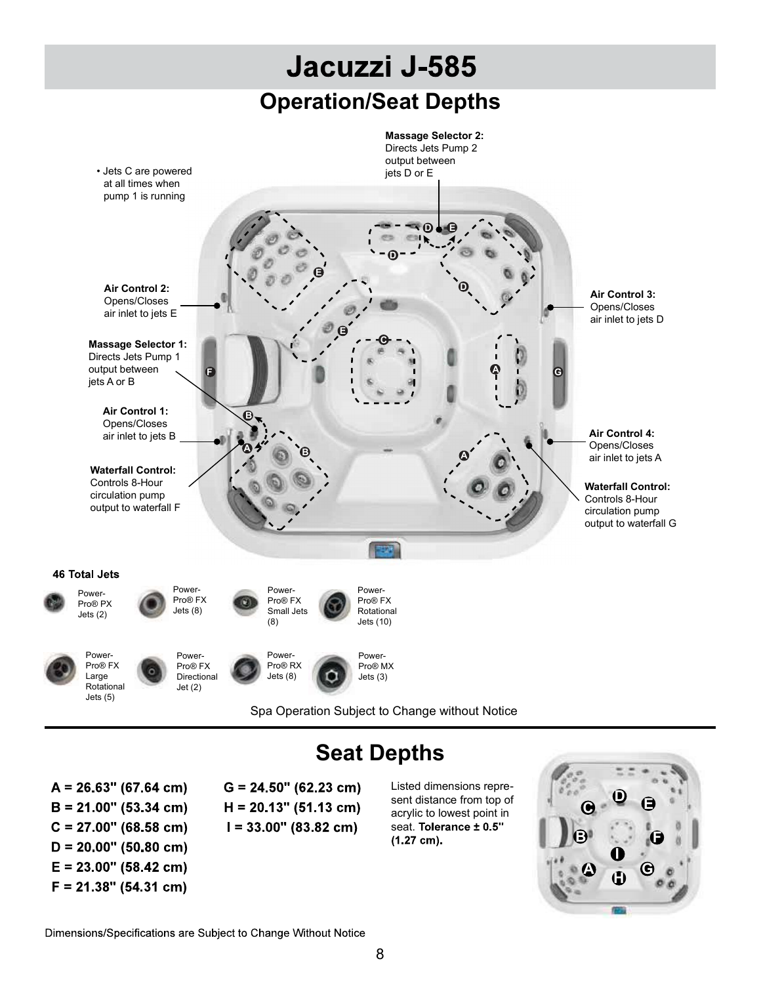

## Seat Depths

 $A = 26.63" (67.64 cm)$  $B = 21.00$ " (53.34 cm)  $C = 27.00$ " (68.58 cm)  $D = 20.00$ " (50.80 cm)  $E = 23.00$ " (58.42 cm)  $F = 21.38$ " (54.31 cm)

 $G = 24.50$ " (62.23 cm)  $H = 20.13$ " (51.13 cm)  $I = 33.00$ " (83.82 cm)

Listed dimensions represent distance from top of acrylic to lowest point in seat. Tolerance ± 0.5"  $(1.27 cm).$ 



Dimensions/Specifications are Subject to Change Without Notice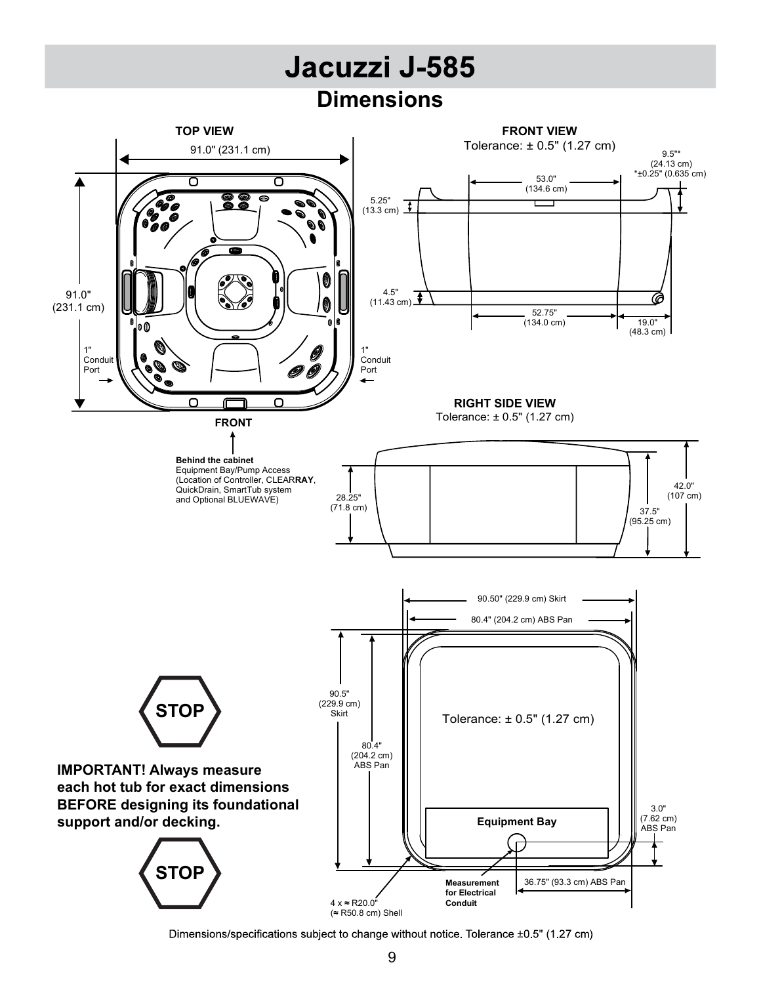## **Dimensions**



Dimensions/specifications subject to change without notice. Tolerance ±0.5" (1.27 cm)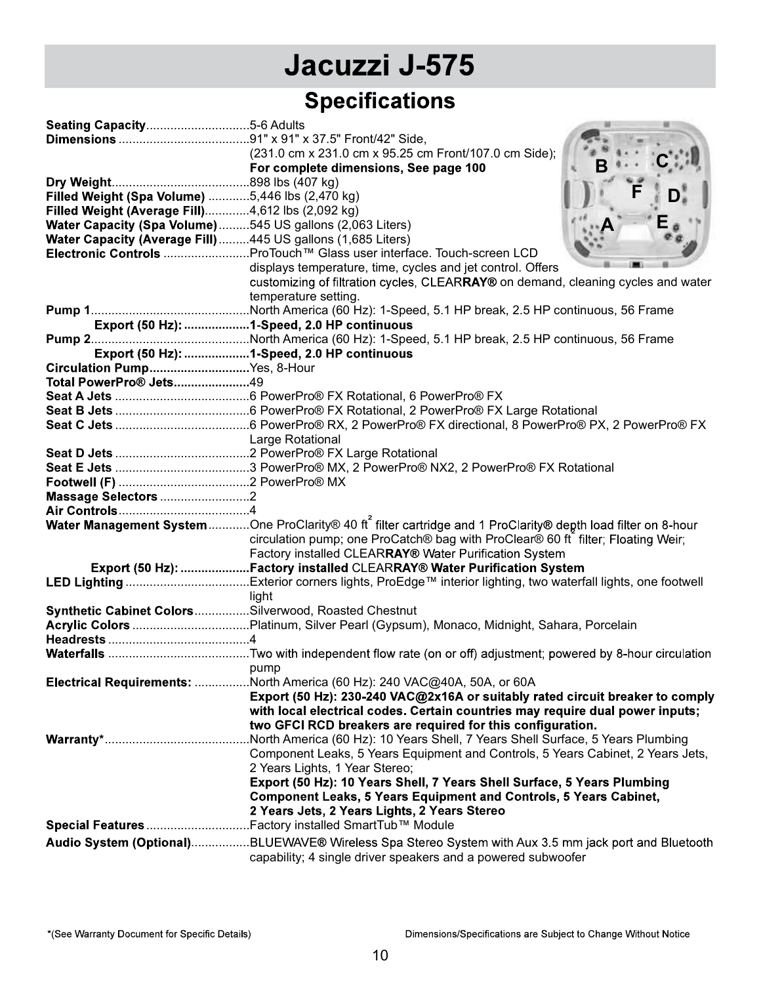# Jacuzzi J-575

## **Specifications**

|                                                                                                                         | (231.0 cm x 231.0 cm x 95.25 cm Front/107.0 cm Side);                                                                                                               |
|-------------------------------------------------------------------------------------------------------------------------|---------------------------------------------------------------------------------------------------------------------------------------------------------------------|
|                                                                                                                         | For complete dimensions, See page 100                                                                                                                               |
|                                                                                                                         |                                                                                                                                                                     |
| Filled Weight (Spa Volume) 5,446 lbs (2,470 kg)                                                                         |                                                                                                                                                                     |
| Filled Weight (Average Fill)4,612 lbs (2,092 kg)                                                                        |                                                                                                                                                                     |
| Water Capacity (Spa Volume)545 US gallons (2,063 Liters)<br>Water Capacity (Average Fill) 445 US gallons (1,685 Liters) |                                                                                                                                                                     |
|                                                                                                                         | Electronic Controls ProTouch™ Glass user interface. Touch-screen LCD                                                                                                |
|                                                                                                                         | displays temperature, time, cycles and jet control. Offers                                                                                                          |
|                                                                                                                         | customizing of filtration cycles, CLEARRAY® on demand, cleaning cycles and water                                                                                    |
|                                                                                                                         | temperature setting.                                                                                                                                                |
|                                                                                                                         |                                                                                                                                                                     |
|                                                                                                                         | Export (50 Hz): 1-Speed, 2.0 HP continuous                                                                                                                          |
|                                                                                                                         |                                                                                                                                                                     |
|                                                                                                                         | Export (50 Hz): 1-Speed, 2.0 HP continuous                                                                                                                          |
| Circulation PumpYes, 8-Hour                                                                                             |                                                                                                                                                                     |
| Total PowerPro® Jets49                                                                                                  |                                                                                                                                                                     |
|                                                                                                                         |                                                                                                                                                                     |
|                                                                                                                         |                                                                                                                                                                     |
|                                                                                                                         |                                                                                                                                                                     |
|                                                                                                                         | Large Rotational                                                                                                                                                    |
|                                                                                                                         |                                                                                                                                                                     |
|                                                                                                                         |                                                                                                                                                                     |
|                                                                                                                         |                                                                                                                                                                     |
| Massage Selectors 2                                                                                                     |                                                                                                                                                                     |
|                                                                                                                         |                                                                                                                                                                     |
|                                                                                                                         | Water Management System One ProClarity® 40 ft filter cartridge and 1 ProClarity® depth load filter on 8-hour                                                        |
|                                                                                                                         | circulation pump; one ProCatch® bag with ProClear® 60 ft filter; Floating Weir;                                                                                     |
|                                                                                                                         | Factory installed CLEARRAY® Water Purification System                                                                                                               |
|                                                                                                                         | Export (50 Hz): Factory installed CLEARRAY® Water Purification System                                                                                               |
|                                                                                                                         | light                                                                                                                                                               |
| Synthetic Cabinet ColorsSilverwood, Roasted Chestnut                                                                    |                                                                                                                                                                     |
|                                                                                                                         |                                                                                                                                                                     |
|                                                                                                                         |                                                                                                                                                                     |
|                                                                                                                         |                                                                                                                                                                     |
|                                                                                                                         | pump                                                                                                                                                                |
|                                                                                                                         | Electrical Requirements: North America (60 Hz): 240 VAC@40A, 50A, or 60A                                                                                            |
|                                                                                                                         | Export (50 Hz): 230-240 VAC@2x16A or suitably rated circuit breaker to comply                                                                                       |
|                                                                                                                         | with local electrical codes. Certain countries may require dual power inputs;                                                                                       |
|                                                                                                                         | two GFCI RCD breakers are required for this configuration.                                                                                                          |
|                                                                                                                         |                                                                                                                                                                     |
|                                                                                                                         |                                                                                                                                                                     |
|                                                                                                                         | Component Leaks, 5 Years Equipment and Controls, 5 Years Cabinet, 2 Years Jets,                                                                                     |
|                                                                                                                         | 2 Years Lights, 1 Year Stereo;                                                                                                                                      |
|                                                                                                                         | Export (50 Hz): 10 Years Shell, 7 Years Shell Surface, 5 Years Plumbing                                                                                             |
|                                                                                                                         | <b>Component Leaks, 5 Years Equipment and Controls, 5 Years Cabinet,</b>                                                                                            |
|                                                                                                                         | 2 Years Jets, 2 Years Lights, 2 Years Stereo                                                                                                                        |
|                                                                                                                         | Special Features Factory installed SmartTub™ Module                                                                                                                 |
|                                                                                                                         | Audio System (Optional)BLUEWAVE® Wireless Spa Stereo System with Aux 3.5 mm jack port and Bluetooth<br>capability; 4 single driver speakers and a powered subwoofer |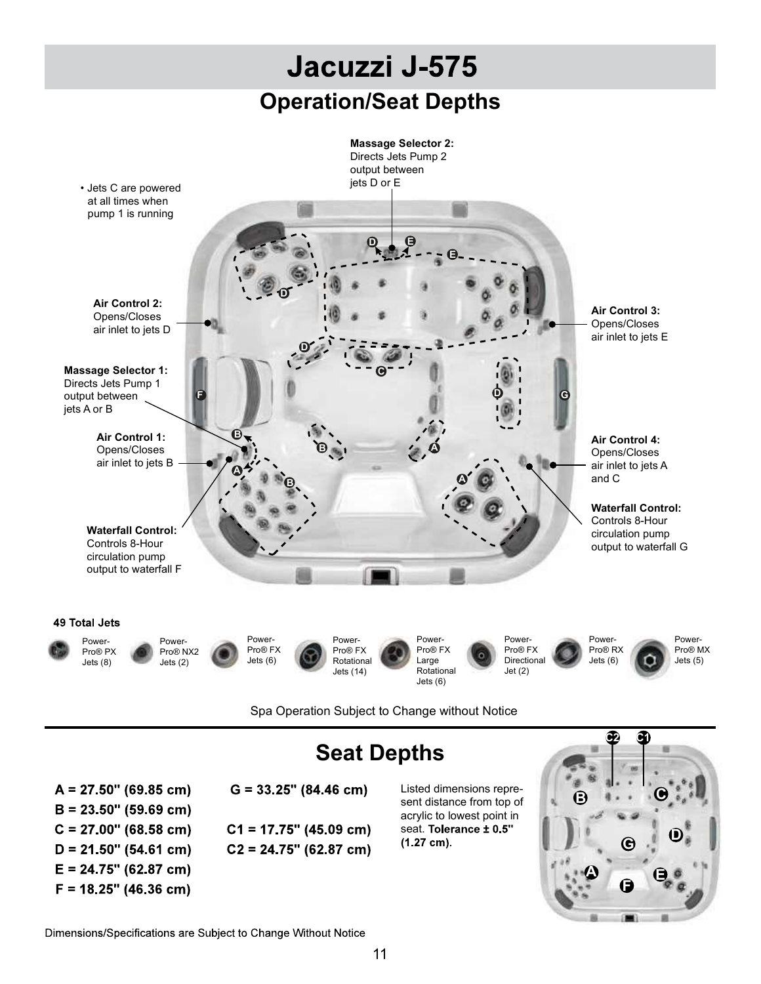

Spa Operation Subject to Change without Notice

 $A = 27.50$ " (69.85 cm)  $B = 23.50$ " (59.69 cm)  $C = 27.00$ " (68.58 cm)  $D = 21.50$ " (54.61 cm)  $E = 24.75$ " (62.87 cm)  $F = 18.25$ " (46.36 cm)

# Seat Depths

 $G = 33.25$ " (84.46 cm)  $C1 = 17.75$ " (45.09 cm)  $C2 = 24.75$ " (62.87 cm) Listed dimensions represent distance from top of acrylic to lowest point in seat. Tolerance ± 0.5"  $(1.27 cm).$ 



Dimensions/Specifications are Subject to Change Without Notice